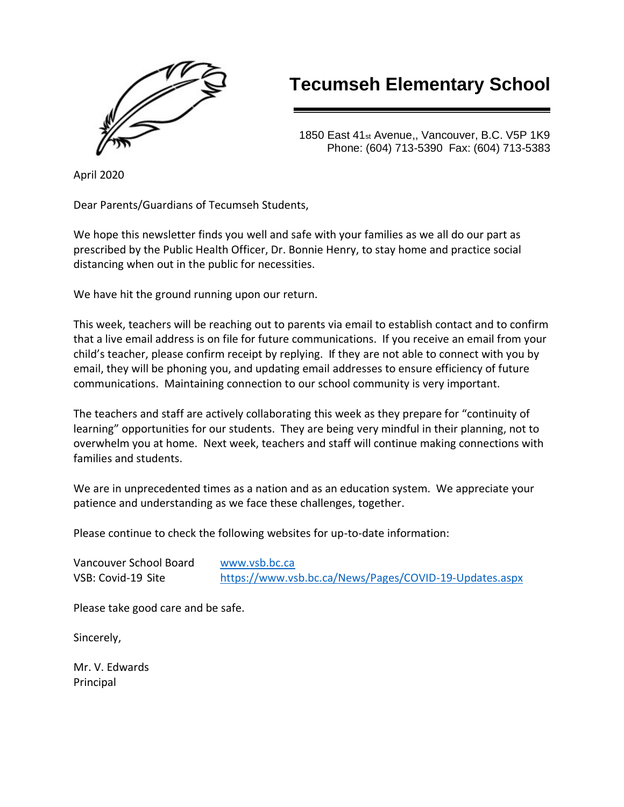

# **Tecumseh Elementary School**

1850 East 41st Avenue,, Vancouver, B.C. V5P 1K9 Phone: (604) 713-5390 Fax: (604) 713-5383

April 2020

Dear Parents/Guardians of Tecumseh Students,

We hope this newsletter finds you well and safe with your families as we all do our part as prescribed by the Public Health Officer, Dr. Bonnie Henry, to stay home and practice social distancing when out in the public for necessities.

We have hit the ground running upon our return.

This week, teachers will be reaching out to parents via email to establish contact and to confirm that a live email address is on file for future communications. If you receive an email from your child's teacher, please confirm receipt by replying. If they are not able to connect with you by email, they will be phoning you, and updating email addresses to ensure efficiency of future communications. Maintaining connection to our school community is very important.

The teachers and staff are actively collaborating this week as they prepare for "continuity of learning" opportunities for our students. They are being very mindful in their planning, not to overwhelm you at home. Next week, teachers and staff will continue making connections with families and students.

We are in unprecedented times as a nation and as an education system. We appreciate your patience and understanding as we face these challenges, together.

Please continue to check the following websites for up-to-date information:

Vancouver School Board [www.vsb.bc.ca](http://www.vsb.bc.ca/)

VSB: Covid-19 Site <https://www.vsb.bc.ca/News/Pages/COVID-19-Updates.aspx>

Please take good care and be safe.

Sincerely,

Mr. V. Edwards Principal